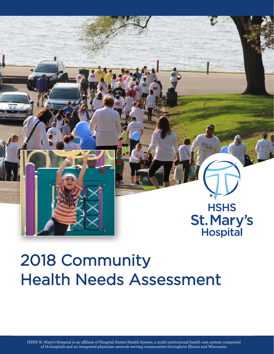

# 2018 Community Health Needs Assessment

HSHS St. Mary's Hospital is an affiliate of Hospital Sisters Health System, a multi-institutional health care system comprised of 14 hospitals and an integrated physician network serving communities throughout Illinois and Wisconsin.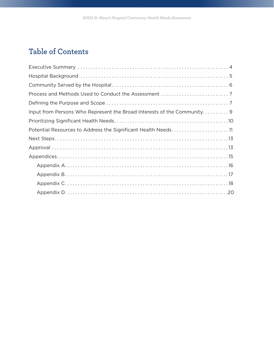# **Table of Contents**

| Input from Persons Who Represent the Broad Interests of the Community 9 |
|-------------------------------------------------------------------------|
|                                                                         |
| Potential Resources to Address the Significant Health Needs11           |
|                                                                         |
|                                                                         |
|                                                                         |
|                                                                         |
|                                                                         |
|                                                                         |
|                                                                         |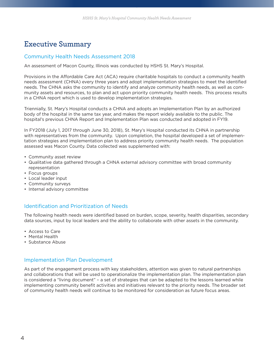# **Executive Summary**

### Community Health Needs Assessment 2018

An assessment of Macon County, Illinois was conducted by HSHS St. Mary's Hospital.

Provisions in the Affordable Care Act (ACA) require charitable hospitals to conduct a community health needs assessment (CHNA) every three years and adopt implementation strategies to meet the identified needs. The CHNA asks the community to identify and analyze community health needs, as well as community assets and resources, to plan and act upon priority community health needs. This process results in a CHNA report which is used to develop implementation strategies.

Triennially, St. Mary's Hospital conducts a CHNA and adopts an Implementation Plan by an authorized body of the hospital in the same tax year, and makes the report widely available to the public. The hospital's previous CHNA Report and Implementation Plan was conducted and adopted in FY19.

In FY2018 (July 1, 2017 through June 30, 2018), St. Mary's Hospital conducted its CHNA in partnership with representatives from the community. Upon completion, the hospital developed a set of implementation strategies and implementation plan to address priority community health needs. The population assessed was Macon County. Data collected was supplemented with:

- Community asset review
- Qualitative data gathered through a CHNA external advisory committee with broad community representation
- Focus groups
- Local leader input
- Community surveys
- Internal advisory committee

### Identification and Prioritization of Needs

The following health needs were identified based on burden, scope, severity, health disparities, secondary data sources, input by local leaders and the ability to collaborate with other assets in the community.

- Access to Care
- Mental Health
- Substance Abuse

### Implementation Plan Development

As part of the engagement process with key stakeholders, attention was given to natural partnerships and collaborations that will be used to operationalize the implementation plan. The implementation plan is considered a "living document" – a set of strategies that can be adapted to the lessons learned while implementing community benefit activities and initiatives relevant to the priority needs. The broader set of community health needs will continue to be monitored for consideration as future focus areas.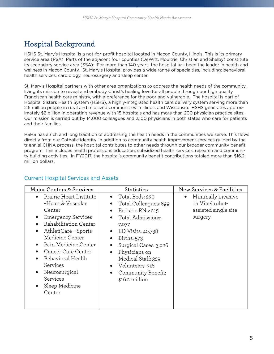# **Hospital Background**

HSHS St. Mary's Hospital is a not-for-profit hospital located in Macon County, Illinois. This is its primary service area (PSA). Parts of the adjacent four counties (DeWitt, Moultrie, Christian and Shelby) constitute its secondary service area (SSA): For more than 140 years, the hospital has been the leader in health and wellness in Macon County. St. Mary's Hospital provides a wide range of specialties, including: behavioral health services, cardiology, neurosurgery and sleep center.

St. Mary's Hospital partners with other area organizations to address the health needs of the community, living its mission to reveal and embody Christ's healing love for all people through our high quality Franciscan health care ministry, with a preference for the poor and vulnerable. The hospital is part of Hospital Sisters Health System (HSHS), a highly-integrated health care delivery system serving more than 2.6 million people in rural and midsized communities in Illinois and Wisconsin. HSHS generates approximately \$2 billion in operating revenue with 15 hospitals and has more than 200 physician practice sites. Our mission is carried out by 14,000 colleagues and 2,100 physicians in both states who care for patients and their families.

HSHS has a rich and long tradition of addressing the health needs in the communities we serve. This flows directly from our Catholic identity. In addition to community health improvement services guided by the triennial CHNA process, the hospital contributes to other needs through our broader community benefit program. This includes health professions education, subsidized health services, research and community building activities. In FY2017, the hospital's community benefit contributions totaled more than \$16.2 million dollars.

### Current Hospital Services and Assets

| Major Centers & Services                                                                                                                                                                                                                                                                              | <b>Statistics</b>                                                                                                                                                                                                                                                      | <b>New Services &amp; Facilities</b>                                                  |  |
|-------------------------------------------------------------------------------------------------------------------------------------------------------------------------------------------------------------------------------------------------------------------------------------------------------|------------------------------------------------------------------------------------------------------------------------------------------------------------------------------------------------------------------------------------------------------------------------|---------------------------------------------------------------------------------------|--|
| Prairie Heart Institute<br>–Heart & Vascular<br>Center<br>Emergency Services<br>Rehabilitation Center<br>AthletiCare - Sports<br>Medicine Center<br>Pain Medicine Center<br>Cancer Care Center<br>Behavioral Health<br>Services<br>Neurosurgical<br>$\bullet$<br>Services<br>Sleep Medicine<br>Center | Total Beds: 230<br>$\bullet$<br>Total Colleagues: 899<br>Bedside RNs: 215<br>Total Admissions:<br>7,077<br>ED Visits: 40,738<br>Births: 573<br>Surgical Cases: 3,026<br>Physicians on<br>Medical Staff: 329<br>Volunteers: 318<br>Community Benefit:<br>\$16.2 million | Minimally invasive<br>$\bullet$<br>da Vinci robot-<br>assisted single site<br>surgery |  |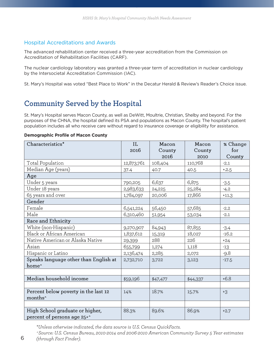### Hospital Accreditations and Awards

The advanced rehabilitation center received a three-year accreditation from the Commission on Accreditation of Rehabilitation Facilities (CARF).

The nuclear cardiology laboratory was granted a three-year term of accreditation in nuclear cardiology by the Intersocietal Accreditation Commission (IAC).

St. Mary's Hospital was voted "Best Place to Work" in the Decatur Herald & Review's Reader's Choice issue.

# **Community Served by the Hospital**

St. Mary's Hospital serves Macon County, as well as DeWitt, Moultrie, Christian, Shelby and beyond. For the purposes of the CHNA, the hospital defined its PSA and populations as Macon County. The hospital's patient population includes all who receive care without regard to insurance coverage or eligibility for assistance.

#### **Demographic Profile of Macon County**

| Characteristics*                        | IL         | Macon          | Macon          | % Change      |
|-----------------------------------------|------------|----------------|----------------|---------------|
|                                         | 2016       | County<br>2016 | County<br>2010 | for<br>County |
| Total Population                        | 12,873,761 | 108,404        | 110,768        | $-2.1$        |
| Median Age (years)                      | 37.4       | 40.7           | 40.5           | $+.2.5$       |
| Age                                     |            |                |                |               |
| Under 5 years                           | 790,205    | 6,637          | 6,875          | $-3.5$        |
| Under 18 years                          | 2,983,633  | 24,225         | 25,284         | $-4.2$        |
| 65 years and over                       | 1,784,097  | 20,006         | 17,866         | $+11.3$       |
| Gender                                  |            |                |                |               |
| Female                                  | 6,541,224  | 56,450         | 57,685         | $-2.2$        |
| Male                                    | 6,310,460  | 51,954         | 53,034         | $-2.1$        |
| Race and Ethnicity                      |            |                |                |               |
| White (non-Hispanic)                    | 9,270,907  | 84,943         | 87,855         | $-3.4$        |
| <b>Black or African American</b>        | 1,837,612  | 15,319         | 18,027         | $-16.2$       |
| Native American or Alaska Native        | 29,399     | 288            | 226            | $+24$         |
| Asian                                   | 655,799    | 1,274          | 1,118          | $-13$         |
| Hispanic or Latino                      | 2,136,474  | 2,285          | 2,072          | $-9.8$        |
| Speaks language other than English at   | 2,732,710  | 3,722          | 3,123          | $-17.5$       |
| home <sup>^</sup>                       |            |                |                |               |
|                                         |            |                |                |               |
| Median household income                 | \$59,196   | \$47,477       | \$44,337       | $+6.8$        |
|                                         |            |                |                |               |
| Percent below poverty in the last 12    | 14%        | 18.7%          | 15.7%          | $+3$          |
| months <sup>^</sup>                     |            |                |                |               |
|                                         |            |                |                |               |
| High School graduate or higher,         | 88.3%      | 89.6%          | 86.9%          | $+2.7$        |
| percent of persons age 25+ <sup>2</sup> |            |                |                |               |

*\*Unless otherwise indicated, the data source is U.S. Census QuickFacts.* 

*<sup>^</sup>Source: U.S. Census Bureau, 2010-2014 and 2006-2010 American Community Survey 5 Year estimates (through Fact Finder).*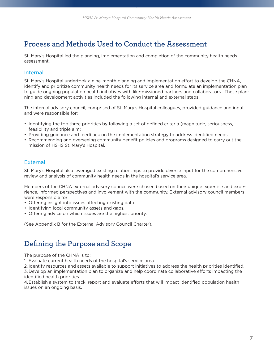# **Process and Methods Used to Conduct the Assessment**

St. Mary's Hospital led the planning, implementation and completion of the community health needs assessment.

### Internal

St. Mary's Hospital undertook a nine-month planning and implementation effort to develop the CHNA, identify and prioritize community health needs for its service area and formulate an implementation plan to guide ongoing population health initiatives with like-missioned partners and collaborators. These planning and development activities included the following internal and external steps:

The internal advisory council, comprised of St. Mary's Hospital colleagues, provided guidance and input and were responsible for:

- Identifying the top three priorities by following a set of defined criteria (magnitude, seriousness, feasibility and triple aim).
- Providing guidance and feedback on the implementation strategy to address identified needs.
- Recommending and overseeing community benefit policies and programs designed to carry out the mission of HSHS St. Mary's Hospital.

### External

St. Mary's Hospital also leveraged existing relationships to provide diverse input for the comprehensive review and analysis of community health needs in the hospital's service area.

Members of the CHNA external advisory council were chosen based on their unique expertise and experience, informed perspectives and involvement with the community. External advisory council members were responsible for:

- Offering insight into issues affecting existing data.
- Identifying local community assets and gaps.
- Offering advice on which issues are the highest priority.

(See Appendix B for the External Advisory Council Charter).

# **Defining the Purpose and Scope**

The purpose of the CHNA is to:

1. Evaluate current health needs of the hospital's service area.

2. Identify resources and assets available to support initiatives to address the health priorities identified.

3. Develop an implementation plan to organize and help coordinate collaborative efforts impacting the identified health priorities.

4. Establish a system to track, report and evaluate efforts that will impact identified population health issues on an ongoing basis.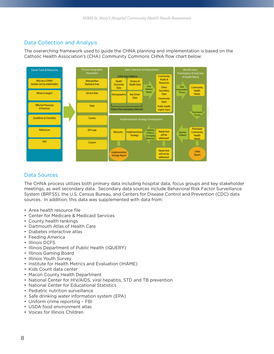### Data Collection and Analysis

The overarching framework used to guide the CHNA planning and implementation is based on the Catholic Health Association's (CHA) Community Commons CHNA flow chart below:



### Data Sources

The CHNA process utilizes both primary data including hospital data, focus groups and key stakeholder meetings, as well secondary data. Secondary data sources include Behavioral Risk Factor Surveillance System (BRFSS), the U.S. Census Bureau, and Centers for Disease Control and Prevention (CDC) data sources. In addition, this data was supplemented with data from:

- Area health resource file
- Center for Medicare & Medicaid Services
- County health rankings
- Dartmouth Atlas of Health Care
- Diabetes interactive atlas
- Feeding America
- Illinois DCFS
- Illinois Department of Public Health (IQUERY)
- Illinois Gaming Board
- Illinois Youth Survey
- Institute for Health Metrics and Evaluation (IHAME)
- Kids Count data center
- Macon County Health Department
- National Center for HIV/AIDS, viral hepatitis, STD and TB prevention
- National Center for Educational Statistics
- Pediatric nutrition surveillance
- Safe drinking water information system (EPA)
- Uniform crime reporting FBI
- USDA food environment atlas
- Voices for Illinois Children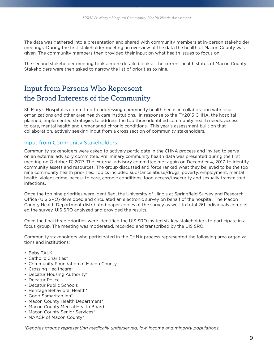The data was gathered into a presentation and shared with community members at in-person stakeholder meetings. During the first stakeholder meeting an overview of the data the health of Macon County was given. The community members then provided their input on what health issues to focus on.

The second stakeholder meeting took a more detailed look at the current health status of Macon County. Stakeholders were then asked to narrow the list of priorities to nine.

# **Input from Persons Who Represent the Broad Interests of the Community**

St. Mary's Hospital is committed to addressing community health needs in collaboration with local organizations and other area health care institutions. In response to the FY2015 CHNA, the hospital planned, implemented strategies to address the top three identified community health needs: access to care, mental health and unmanaged chronic conditions. This year's assessment built on that collaboration, actively seeking input from a cross section of community stakeholders.

### Input from Community Stakeholders

Community stakeholders were asked to actively participate in the CHNA process and invited to serve on an external advisory committee. Preliminary community health data was presented during the first meeting on October 17, 2017. The external advisory committee met again on December 4, 2017, to identify community assets and resources. The group discussed and force ranked what they believed to be the top nine community health priorities. Topics included substance abuse/drugs, poverty, employment, mental health, violent crime, access to care, chronic conditions, food access/insecurity and sexually transmitted infections.

Once the top nine priorities were identified, the University of Illinois at Springfield Survey and Research Office (UIS SRO) developed and circulated an electronic survey on behalf of the hospital. The Macon County Health Department distributed paper copies of the survey as well. In total 261 individuals completed the survey. UIS SRO analyzed and provided the results.

Once the final three priorities were identified the UIS SRO invited six key stakeholders to participate in a focus group. The meeting was moderated, recorded and transcribed by the UIS SRO.

Community stakeholders who participated in the CHNA process represented the following area organizations and institutions:

- Baby TALK
- Catholic Charities\*
- Community Foundation of Macon County
- Crossing Healthcare\*
- Decatur Housing Authority\*
- Decatur Police
- Decatur Public Schools
- Heritage Behavioral Health\*
- Good Samaritan Inn\*
- Macon County Health Department\*
- Macon County Mental Health Board
- Macon County Senior Services\*
- NAACP of Macon County\*

*\*Denotes groups representing medically underserved, low-income and minority populations.*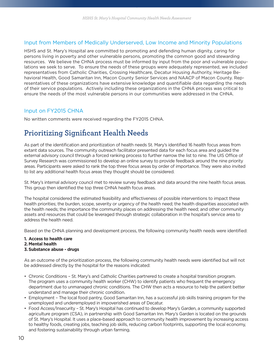### Input from Members of Medically Underserved, Low Income and Minority Populations

HSHS and St. Mary's Hospital are committed to promoting and defending human dignity, caring for persons living in poverty and other vulnerable persons, promoting the common good and stewarding resources. We believe the CHNA process must be informed by input from the poor and vulnerable populations we seek to serve. To ensure the needs of these groups were adequately represented, we included representatives from Catholic Charities, Crossing Healthcare, Decatur Housing Authority, Heritage Behavioral Health, Good Samaritan Inn, Macon County Senior Services and NAACP of Macon County. Representatives of these organizations have extensive knowledge and quantifiable data regarding the needs of their service populations. Actively including these organizations in the CHNA process was critical to ensure the needs of the most vulnerable persons in our communities were addressed in the CHNA.

### Input on FY2015 CHNA

No written comments were received regarding the FY2015 CHNA.

# **Prioritizing Significant Health Needs**

As part of the identification and prioritization of health needs St. Mary's identified 16 health focus areas from extant data sources. The community outreach facilitator presented data for each focus area and guided the external advisory council through a forced ranking process to further narrow the list to nine. The UIS Office of Survey Research was commissioned to develop an online survey to provide feedback around the nine priority areas. Participants were asked to rank the top three focus areas by order of importance. They were also invited to list any additional health focus areas they thought should be considered.

St. Mary's internal advisory council met to review survey feedback and data around the nine health focus areas. This group then identified the top three CHNA health focus areas.

The hospital considered the estimated feasibility and effectiveness of possible interventions to impact these health priorities; the burden, scope, severity or urgency of the health need; the health disparities associated with the health needs; the importance the community places on addressing the health need; and other community assets and resources that could be leveraged through strategic collaboration in the hospital's service area to address the health need.

Based on the CHNA planning and development process, the following community health needs were identified:

- **1. Access to health care**
- **2. Mental health**
- **3. Substance abuse drugs**

As an outcome of the prioritization process, the following community health needs were identified but will not be addressed directly by the hospital for the reasons indicated:

- Chronic Conditions St. Mary's and Catholic Charities partnered to create a hospital transition program. The program uses a community health worker (CHW) to identify patients who frequent the emergency department due to unmanaged chronic conditions. The CHW then acts a resource to help the patient better understand and manage their chronic condition.
- Employment The local food pantry, Good Samaritan Inn, has a successful job skills training program for the unemployed and underemployed in impoverished areas of Decatur.
- Food Access/Insecurity St. Mary's Hospital has continued to develop Mary's Garden, a community supported agriculture program (CSA), in partnership with Good Samaritan Inn. Mary's Garden is located on the grounds of St. Mary's Hospital. It uses a place-based approach to community health improvement by increasing access to healthy foods, creating jobs, teaching job skills, reducing carbon footprints, supporting the local economy, and fostering sustainability through urban farming.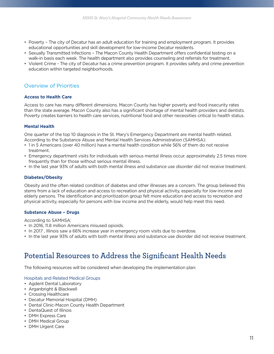- Poverty The city of Decatur has an adult education for training and employment program. It provides educational opportunities and skill development for low-income Decatur residents.
- Sexually Transmitted Infections The Macon County Health Department offers confidential testing on a walk-in basis each week. The health department also provides counseling and referrals for treatment.
- Violent Crime The city of Decatur has a crime prevention program. It provides safety and crime prevention education within targeted neighborhoods.

### Overview of Priorities

#### **Access to Health Care**

Access to care has many different dimensions. Macon County has higher poverty and food insecurity rates than the state average. Macon County also has a significant shortage of mental health providers and dentists. Poverty creates barriers to health care services, nutritional food and other necessities critical to health status.

#### **Mental Health**

One quarter of the top 10 diagnosis in the St. Mary's Emergency Department are mental health related. According to the Substance Abuse and Mental Health Services Administration (SAMHSA):

- 1 in 5 Americans (over 40 million) have a mental health condition while 56% of them do not receive treatment.
- Emergency department visits for individuals with serious mental illness occur. approximately 2.5 times more frequently than for those without serious mental illness.
- In the last year 93% of adults with both mental illness and substance use disorder did not receive treatment.

#### **Diabetes/Obesity**

Obesity and the often related condition of diabetes and other illnesses are a concern. The group believed this stems from a lack of education and access to recreation and physical activity, especially for low-income and elderly persons. The identification and prioritization group felt more education and access to recreation and physical activity, especially for persons with low income and the elderly, would help meet this need.

#### **Substance Abuse – Drugs**

According to SAMHSA:

- In 2016, 11.8 million Americans misused opioids.
- In 2017 , Illinois saw a 66% increase year in emergency room visits due to overdose.
- In the last year 93% of adults with both mental illness and substance use disorder did not receive treatment.

# **Potential Resources to Address the Significant Health Needs**

The following resources will be considered when developing the implementation plan:

#### Hospitals and Related Medical Groups

- Agdent Dental Laboratory
- Arganbright & Blackwell
- Crossing Healthcare
- Decatur Memorial Hospital (DMH)
- Dental Clinic-Macon County Health Department
- DentaQuest of Illinois
- DMH Express Care
- DMH Medical Group
- DMH Urgent Care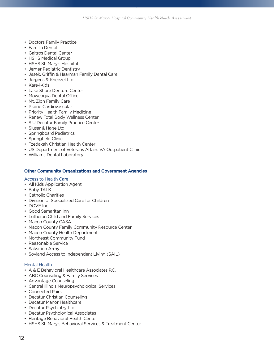- Doctors Family Practice
- Familia Dental
- Gaitros Dental Center
- HSHS Medical Group
- HSHS St. Mary's Hospital
- Jerger Pediatric Dentistry
- Jesek, Griffin & Haarman Family Dental Care
- Jurgens & Kneezel Ltd
- Kare4Kids
- Lake Shore Denture Center
- Moweaqua Dental Office
- Mt. Zion Family Care
- Prairie Cardiovascular
- Priority Health Family Medicine
- Renew Total Body Wellness Center
- SIU Decatur Family Practice Center
- Slusar & Hage Ltd
- Springboard Pediatrics
- Springfield Clinic
- Tzedakah Christian Health Center
- US Department of Veterans Affairs VA Outpatient Clinic
- Williams Dental Laboratory

#### **Other Community Organizations and Government Agencies**

#### Access to Health Care

- All Kids Application Agent
- Baby TALK
- Catholic Charities
- Division of Specialized Care for Children
- DOVE Inc.
- Good Samaritan Inn
- Lutheran Child and Family Services
- Macon County CASA
- Macon County Family Community Resource Center
- Macon County Health Department
- Northeast Community Fund
- Reasonable Service
- Salvation Army
- Soyland Access to Independent Living (SAIL)

#### Mental Health

- A & E Behavioral Healthcare Associates P.C.
- ABC Counseling & Family Services
- Advantage Counseling
- Central Illinois Neuropsychological Services
- Connected Pairs
- Decatur Christian Counseling
- Decatur Manor Healthcare
- Decatur Psychiatry Ltd
- Decatur Psychological Associates
- Heritage Behavioral Health Center
- HSHS St. Mary's Behavioral Services & Treatment Center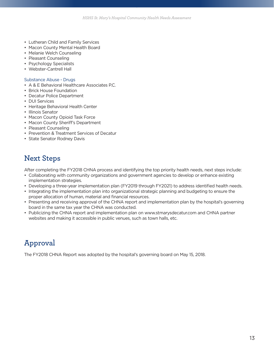- Lutheran Child and Family Services
- Macon County Mental Health Board
- Melanie Welch Counseling
- Pleasant Counseling
- Psychology Specialists
- Webster-Cantrell Hall

#### Substance Abuse - Drugs

- A & E Behavioral Healthcare Associates P.C.
- Brick House Foundation
- Decatur Police Department
- DUI Services
- Heritage Behavioral Health Center
- Illinois Senator
- Macon County Opioid Task Force
- Macon County Sheriff's Department
- Pleasant Counseling
- Prevention & Treatment Services of Decatur
- State Senator Rodney Davis

### **Next Steps**

After completing the FY2018 CHNA process and identifying the top priority health needs, next steps include:

- Collaborating with community organizations and government agencies to develop or enhance existing implementation strategies.
- Developing a three-year implementation plan (FY2019 through FY2021) to address identified health needs.
- Integrating the implementation plan into organizational strategic planning and budgeting to ensure the proper allocation of human, material and financial resources.
- Presenting and receiving approval of the CHNA report and implementation plan by the hospital's governing board in the same tax year the CHNA was conducted.
- Publicizing the CHNA report and implementation plan on www.stmarysdecatur.com and CHNA partner websites and making it accessible in public venues, such as town halls, etc.

# **Approval**

The FY2018 CHNA Report was adopted by the hospital's governing board on May 15, 2018.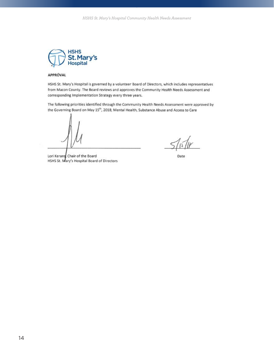

APPROVAL

HSHS St. Mary's Hospital is governed by a volunteer Board of Directors, which includes representatives from Macon County. The Board reviews and approves the Community Health Needs Assessment and corresponding Implementation Strategy every three years.

The following priorities identified through the Community Health Needs Assessment were approved by the Governing Board on May 15<sup>th</sup>, 2018; Mental Health, Substance Abuse and Access to Care

Lori Kerans Chair of the Board HSHS St. Mary's Hospital Board of Directors

Date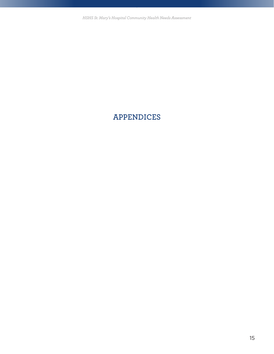# **APPENDICES**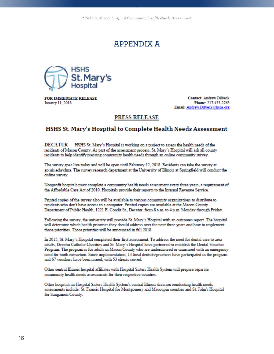# **APPENDIX A**



FOR IMMEDIATE RELEASE January 11, 2018

**Contact: Andrew Dilbeck** Phone: 217-433-2763 Email: Andrew.Dilbeck@hshs.org

#### **PRESS RELEASE**

### HSHS St. Mary's Hospital to Complete Health Needs Assessment

DECATUR - HSHS St. Mary's Hospital is working on a project to assess the health needs of the residents of Macon County. As part of the assessment process, St. Mary's Hospital will ask all county residents to help identify pressing community health needs through an online community survey.

The survey goes live today and will be open until February 12, 2018. Residents can take the survey at go.uis.edu/chna. The survey research department at the University of Illinois at Springfield will conduct the online survey.

Nonprofit hospitals must complete a community health needs assessment every three years, a requirement of the Affordable Care Act of 2010. Hospitals provide their reports to the Internal Revenue Service.

Printed copies of the survey also will be available to various community organizations to distribute to residents who don't have access to a computer. Printed copies are available at the Macon County Department of Public Health, 1221 E. Condit St., Decatur, from 8 a.m. to 4 p.m. Monday through Friday.

Following the survey, the university will provide St. Mary's Hospital with an outcomes report. The hospital will determine which health priorities they should address over the next three years and how to implement those priorities. Those priorities will be announced in fall 2018.

In 2015, St. Mary's Hospital completed their first assessment. To address the need for dental care to area adults, Decatur Catholic Charities and St. Mary's Hospital have partnered to establish the Dental Voucher Program. The program is for adults in Macon County who are underinsured or uninsured with an emergency need for tooth extraction. Since implementation, 13 local dentists/practices have participated in the program and 67 vouchers have been issued, with 53 clients served.

Other central Illinois hospital affiliates with Hospital Sisters Health System will prepare separate community health needs assessments for their respective counties.

Other hospitals in Hospital Sisters Health System's central Illinois division conducting health needs assessments include: St. Francis Hospital for Montgomery and Macoupin counties and St. John's Hospital for Sangamon County.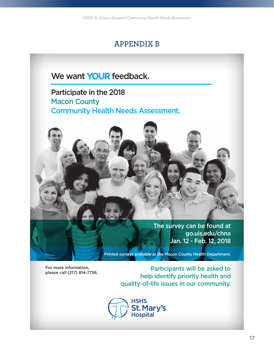# **APPENDIX B**



For more information, please call (217) 814-7756.

Participants will be asked to help identify priority health and quality-of-life issues in our community.

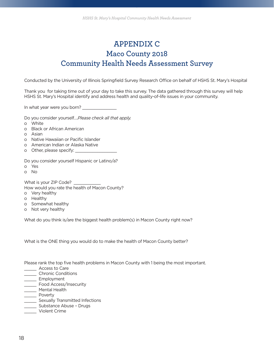# **APPENDIX C Maco County 2018 Community Health Needs Assessment Survey**

Conducted by the University of Illinois Springfield Survey Research Office on behalf of HSHS St. Mary's Hospital

Thank you for taking time out of your day to take this survey. The data gathered through this survey will help HSHS St. Mary's Hospital identify and address health and quality-of-life issues in your community.

In what year were you born? \_\_\_\_\_\_\_\_\_\_\_\_\_\_

Do you consider yourself….*Please check all that apply.*

- o White
- o Black or African American
- o Asian
- o Native Hawaiian or Pacific Islander
- o American Indian or Alaska Native
- o Other, please specify:

Do you consider yourself Hispanic or Latino/a?

- o Yes
- o No

What is your ZIP Code?

How would you rate the health of Macon County?

- o Very healthy
- o Healthy
- o Somewhat healthy
- o Not very healthy

What do you think is/are the biggest health problem(s) in Macon County right now?

What is the ONE thing you would do to make the health of Macon County better?

Please rank the top five health problems in Macon County with 1 being the most important.

- \_\_\_\_\_ Access to Care
- \_\_\_\_\_ Chronic Conditions
- \_\_\_\_\_ Employment
- \_\_\_\_\_ Food Access/Insecurity
- \_\_\_\_\_\_ Mental Health
- \_\_\_\_\_ Poverty
- Sexually Transmitted Infections
- \_\_\_\_\_ Substance Abuse Drugs
- \_\_\_\_\_ Violent Crime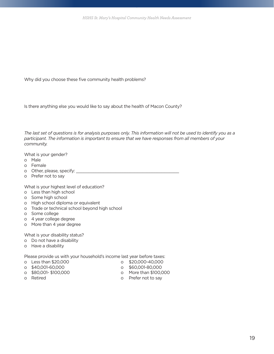Why did you choose these five community health problems?

Is there anything else you would like to say about the health of Macon County?

*The last set of questions is for analysis purposes only. This information will not be used to identify you as a participant. The information is important to ensure that we have responses from all members of your community.*

What is your gender?

- o Male
- o Female
- o Other, please, specify: \_\_\_\_\_\_\_\_\_\_\_\_\_\_\_\_\_\_\_\_\_\_\_\_\_\_\_\_\_\_\_\_\_\_\_\_\_\_\_\_\_\_
- o Prefer not to say

What is your highest level of education?

- o Less than high school
- o Some high school
- o High school diploma or equivalent
- o Trade or technical school beyond high school
- o Some college
- o 4 year college degree
- o More than 4 year degree

What is your disability status?

- o Do not have a disability
- o Have a disability

Please provide us with your household's income last year before taxes:

- o Less than \$20,000 o \$20,000-40,000
- o \$40,001-60,000 o \$60,001-80,000
- o \$80,001- \$100,000 o More than \$100,000
- 
- 
- 
- 
- o Retired o Prefer not to say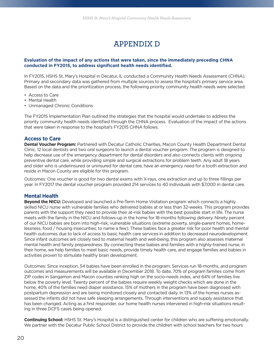# **APPENDIX D**

#### **Evaluation of the impact of any actions that were taken, since the immediately preceding CHNA conducted in FY2015, to address significant health needs identified.**

In FY2015, HSHS St. Mary's Hospital in Decatur, IL conducted a Community Health Needs Assessment (CHNA). Primary and secondary data was gathered from multiple sources to assess the hospital's primary service area. Based on the data and the prioritization process, the following priority community health needs were selected:

- Access to Care
- Mental Health
- Unmanaged Chronic Conditions

The FY2015 Implementation Plan outlined the strategies that the hospital would undertake to address the priority community health needs identified through the CHNA process. Evaluation of the impact of the actions that were taken in response to the hospital's FY2015 CHNA follows.

#### **Access to Care**

**Dental Voucher Program:** Partnered with Decatur Catholic Charities, Macon County Health Department Dental Clinic, 12 local dentists and two oral surgeons to launch a dental voucher program. The program is designed to help decrease use of the emergency department for dental disorders and also connects clients with ongoing preventive dental care, while providing simple and surgical extractions for problem teeth. Any adult 18 years and older who is underinsured or uninsured for dental care, have an emergency need for a tooth extraction and reside in Macon County are eligible for this program.

Outcomes: One voucher is good for two dental exams with X-rays, one extraction and up to three fillings per year. In FY2017 the dental voucher program provided 214 services to 40 individuals with \$7,000 in dental care.

#### **Mental Health**

**Beyond the NICU:** Developed and launched a Pre-Term Home Visitation program which connects a highly skilled NICU nurse with vulnerable families who delivered babies at or less than 32-weeks. This program provides parents with the support they need to provide their at-risk babies with the best possible start in life. The nurse meets with the family in the NICU and follows-up in the home for 18-months following delivery. Ninety percent of our NICU babies are born into high-risk, vulnerable situations (extreme poverty, single-parent homes, homelessness, food / housing insecurities; to name a few). These babies face a greater risk for poor health and mental health outcomes due to lack of access to basic health care services in addition to decreased neurodevelopment. Since infant outcomes are closely tied to maternal health and well-being, this program also assesses maternal mental health and family preparedness. By connecting these babies and families with a highly-trained nurse, in their home, we help families to meet basic needs, provide timely health care, and engage families and babies in activities proven to stimulate healthy brain development.

Outcomes: Since inception, 54 babies have been enrolled in the program. Services run 18-months, and program outcomes and measurements will be available in December 2018. To date, 70% of program families come from ZIP codes in Sangamon and Macon counties ranking high on the socio-needs index, and 64% of families live below the poverty level. Twenty percent of the babies require weekly weight checks which are done in the home, 40% of the families need diaper assistance, 15% of mothers in the program have been diagnosed with postpartum depression and are being monitored closely and contacted daily. In 13% of the homes nurses assessed the infants did not have safe sleeping arrangements. Through interventions and supply assistance that has been changed. Acting as a first responder, our home health nurses intervened in high-risk situations resulting in three DCFS cases being opened.

**Continuing School:** HSHS St. Mary's Hospital is a distinguished center for children who are suffering emotionally. We partner with the Decatur Public School District to provide the children with school teachers for two hours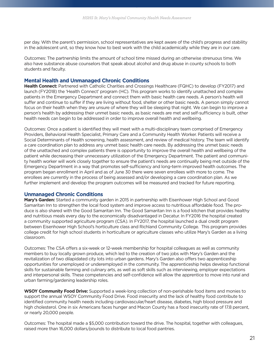per day. With the parent's permission, school representatives are kept aware of the child's progress and stability in the adolescent unit, so they know how to best work with the child academically while they are in our care.

Outcomes: The partnership limits the amount of school time missed during an otherwise strenuous time. We also have substance abuse counselors that speak about alcohol and drug abuse in county schools to both students and faculty.

#### **Mental Health and Unmanaged Chronic Conditions**

**Health Connect:** Partnered with Catholic Charities and Crossings Healthcare (FQHC) to develop (FY2017) and launch (FY2018) the 'Health Connect' program (HC). This program works to identify unattached and complex patients in the Emergency Department and connect them with basic health care needs. A person's health will suffer and continue to suffer if they are living without food, shelter or other basic needs. A person simply cannot focus on their health when they are unsure of where they will be sleeping that night. We can begin to improve a person's health by addressing their unmet basic needs, as basic needs are met and self-sufficiency is built, other health needs can begin to be addressed in order to improve overall health and wellbeing.

Outcomes: Once a patient is identified they will meet with a multi-disciplinary team comprised of Emergency Providers, Behavioral Health Specialist, Primary Care and a Community Health Worker. Patients will receive a Social Determinants of Health screening, health assessment, and review of medical history. The team will identify a care coordination plan to address any unmet basic health care needs. By addressing the unmet basic needs of the unattached and complex patients there is opportunity to improve the overall health and wellbeing of the patient while decreasing their unnecessary utilization of the Emergency Department. The patient and community health worker will work closely together to ensure the patient's needs are continually being met outside of the Emergency Department in a way that promotes self-sufficiency and long-term improved health outcomes. The program began enrollment in April and as of June 30 there were seven enrollees with more to come. The enrollees are currently in the process of being assessed and/or developing a care coordination plan. As we further implement and develop the program outcomes will be measured and tracked for future reporting.

### **Unmanaged Chronic Conditions**

**Mary's Garden:** Started a community garden in 2015 in partnership with Eisenhower High School and Good Samaritan Inn to strengthen the local food system and improve access to nutritious affordable food. The produce is also shared with the Good Samaritan Inn. The Good Samaritan Inn is a food kitchen that provides healthy and nutritious meals every day to the economically disadvantaged in Decatur. In FY2016 the hospital created a community supported agriculture program (CSA). In FY2017, the hospital launched a dual credit program between Eisenhower High School's horticulture class and Richland Community College. This program provides college credit for high school students in horticulture or agriculture classes who utilize Mary's Garden as a living classroom.

Outcomes: The CSA offers a six-week or 12-week membership for hospital colleagues as well as community members to buy locally grown produce, which led to the creation of two jobs with Mary's Garden and the revitalization of two dilapidated city lots into urban gardens. Mary's Garden also offers two apprenticeship opportunities for unemployed or underemployed in the community. The apprenticeship helps develop functional skills for sustainable farming and culinary arts, as well as soft skills such as interviewing, employer expectations and interpersonal skills. These competencies and self-confidence will allow the apprentice to move into rural and urban farming/gardening leadership roles.

**WSOY Community Food Drive:** Supported a week-long collection of non-perishable food items and monies to support the annual WSOY Community Food Drive. Food insecurity and the lack of healthy food contribute to identified community health needs including cardiovascular/heart disease, diabetes, high blood pressure and high cholesterol. One in six Americans faces hunger and Macon County has a food insecurity rate of 17.8 percent, or nearly 20,000 people.

Outcomes: The hospital made a \$5,000 contribution toward the drive. The hospital, together with colleagues, raised more than 16,000 dollars/pounds to distribute to local food pantries.